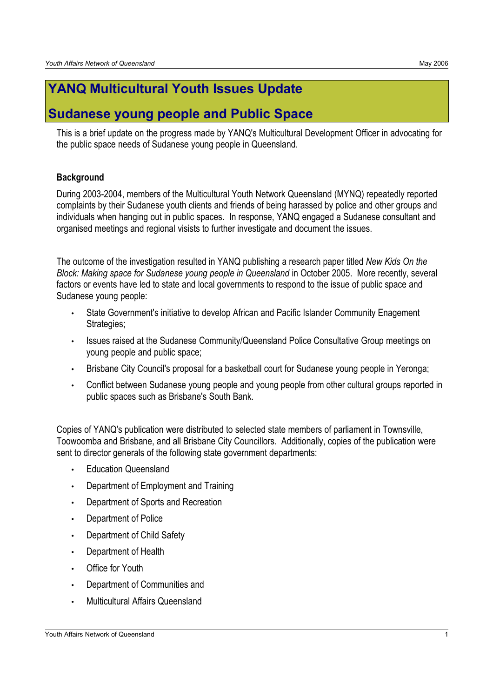# **YANQ Multicultural Youth Issues Update**

## **Sudanese young people and Public Space**

This is a brief update on the progress made by YANQ's Multicultural Development Officer in advocating for the public space needs of Sudanese young people in Queensland.

## **Background**

During 2003-2004, members of the Multicultural Youth Network Queensland (MYNQ) repeatedly reported complaints by their Sudanese youth clients and friends of being harassed by police and other groups and individuals when hanging out in public spaces. In response, YANQ engaged a Sudanese consultant and organised meetings and regional visists to further investigate and document the issues.

The outcome of the investigation resulted in YANQ publishing a research paper titled *New Kids On the Block: Making space for Sudanese young people in Queensland* in October 2005. More recently, several factors or events have led to state and local governments to respond to the issue of public space and Sudanese young people:

- State Government's initiative to develop African and Pacific Islander Community Enagement Strategies;
- Issues raised at the Sudanese Community/Queensland Police Consultative Group meetings on young people and public space;
- Brisbane City Council's proposal for a basketball court for Sudanese young people in Yeronga;
- Conflict between Sudanese young people and young people from other cultural groups reported in public spaces such as Brisbane's South Bank.

Copies of YANQ's publication were distributed to selected state members of parliament in Townsville, Toowoomba and Brisbane, and all Brisbane City Councillors. Additionally, copies of the publication were sent to director generals of the following state government departments:

- Education Queensland
- Department of Employment and Training
- Department of Sports and Recreation
- Department of Police
- Department of Child Safety
- Department of Health
- **Office for Youth**
- Department of Communities and
- Multicultural Affairs Queensland